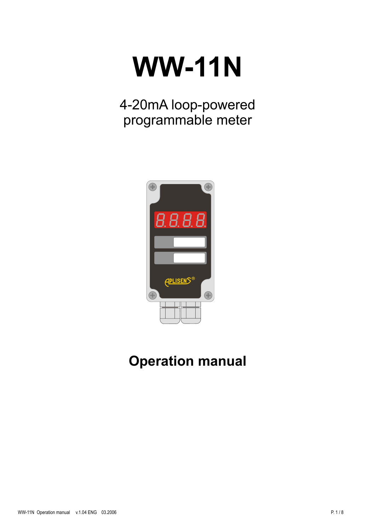# **WW-11N**

4-20mA loop-powered programmable meter



# **Operation manual**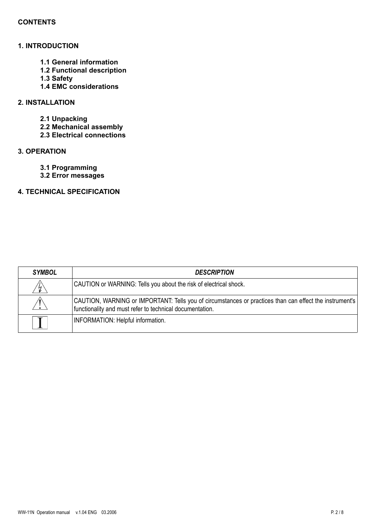#### **CONTENTS**

# **1. INTRODUCTION**

- **1.1 General information**
- **1.2 Functional description**
- **1.3 Safety**
- **1.4 EMC considerations**

# **2. INSTALLATION**

- **2.1 Unpacking**
- **2.2 Mechanical assembly**
- **2.3 Electrical connections**

# **3. OPERATION**

- **3.1 Programming**
- **3.2 Error messages**

# **4. TECHNICAL SPECIFICATION**

| <b>SYMBOL</b> | <b>DESCRIPTION</b>                                                                                                                                                  |
|---------------|---------------------------------------------------------------------------------------------------------------------------------------------------------------------|
| $\mathcal{L}$ | CAUTION or WARNING: Tells you about the risk of electrical shock.                                                                                                   |
|               | CAUTION, WARNING or IMPORTANT: Tells you of circumstances or practices than can effect the instrument's<br>functionality and must refer to technical documentation. |
|               | <b>INFORMATION: Helpful information.</b>                                                                                                                            |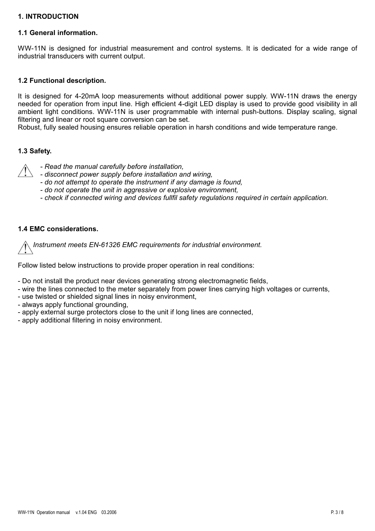## **1. INTRODUCTION**

#### **1.1 General information.**

WW-11N is designed for industrial measurement and control systems. It is dedicated for a wide range of industrial transducers with current output.

#### **1.2 Functional description.**

It is designed for 4-20mA loop measurements without additional power supply. WW-11N draws the energy needed for operation from input line. High efficient 4-digit LED display is used to provide good visibility in all ambient light conditions. WW-11N is user programmable with internal push-buttons. Display scaling, signal filtering and linear or root square conversion can be set.

Robust, fully sealed housing ensures reliable operation in harsh conditions and wide temperature range.

#### **1.3 Safety.**

- *- Read the manual carefully before installation,*
- *- disconnect power supply before installation and wiring,*
- *- do not attempt to operate the instrument if any damage is found,*
- *- do not operate the unit in aggressive or explosive environment,*
- *- check if connected wiring and devices fullfil safety regulations required in certain application.*

#### **1.4 EMC considerations.**

*Instrument meets EN-61326 EMC requirements for industrial environment.*

Follow listed below instructions to provide proper operation in real conditions:

- Do not install the product near devices generating strong electromagnetic fields,
- wire the lines connected to the meter separately from power lines carrying high voltages or currents,
- use twisted or shielded signal lines in noisy environment,
- always apply functional grounding,
- apply external surge protectors close to the unit if long lines are connected,
- apply additional filtering in noisy environment.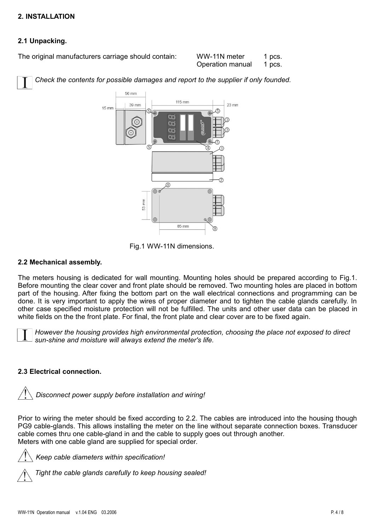# **2. INSTALLATION**

# **2.1 Unpacking.**

The original manufacturers carriage should contain:

| WW-11N meter     | 1 pcs. |
|------------------|--------|
| Operation manual | 1 pcs. |

*Check the contents for possible damages and report to the supplier if only founded.*



Fig.1 WW-11N dimensions.

## **2.2 Mechanical assembly.**

The meters housing is dedicated for wall mounting. Mounting holes should be prepared according to Fig.1. Before mounting the clear cover and front plate should be removed. Two mounting holes are placed in bottom part of the housing. After fixing the bottom part on the wall electrical connections and programming can be done. It is very important to apply the wires of proper diameter and to tighten the cable glands carefully. In other case specified moisture protection will not be fulfilled. The units and other user data can be placed in white fields on the the front plate. For final, the front plate and clear cover are to be fixed again.



*However the housing provides high environmental protection, choosing the place not exposed to direct sun-shine and moisture will always extend the meter's life.*

# **2.3 Electrical connection.**

*Disconnect power supply before installation and wiring!*

Prior to wiring the meter should be fixed according to 2.2. The cables are introduced into the housing though PG9 cable-glands. This allows installing the meter on the line without separate connection boxes. Transducer cable comes thru one cable-gland in and the cable to supply goes out through another. Meters with one cable gland are supplied for special order.



*Keep cable diameters within specification!*

*Tight the cable glands carefully to keep housing sealed!*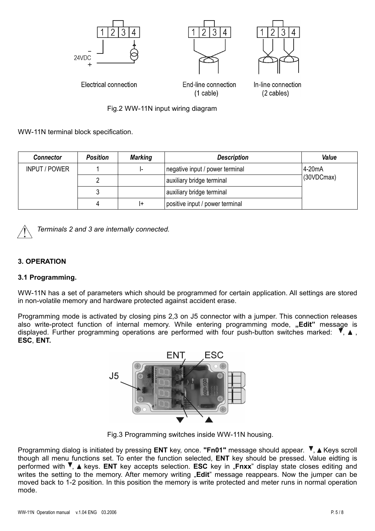

WW-11N terminal block specification.

| <b>Connector</b>     | <b>Position</b> | <b>Marking</b> | <b>Description</b>              | Value               |
|----------------------|-----------------|----------------|---------------------------------|---------------------|
| <b>INPUT / POWER</b> |                 |                | negative input / power terminal | 4-20 <sub>m</sub> A |
|                      |                 |                | auxiliary bridge terminal       | (30VDCmax)          |
|                      |                 |                | auxiliary bridge terminal       |                     |
|                      |                 |                | positive input / power terminal |                     |

*Terminals 2 and 3 are internally connected.*

# **3. OPERATION**

#### **3.1 Programming.**

WW-11N has a set of parameters which should be programmed for certain application. All settings are stored in non-volatile memory and hardware protected against accident erase.

Programming mode is activated by closing pins 2,3 on J5 connector with a jumper. This connection releases also write-protect function of internal memory. While entering programming mode, "Edit" message is displayed. Further programming operations are performed with four push-button switches marked:  $\mathbf{V}$ ,  $\mathbf{\Delta}$ , **ESC**, **ENT.**



Fig.3 Programming switches inside WW-11N housing.

Programming dialog is initiated by pressing **ENT** key, once. "Fn01" message should appear. <sup>▼</sup>, ▲ Keys scroll though all menu functions set. To enter the function selected, **ENT** key should be pressed. Value eidting is performed with  $\Pi$ , A keys. **ENT** key accepts selection. **ESC** key in "Fnxx" display state closes editing and writes the setting to the memory. After memory writing "**Edit**" message reappears. Now the jumper can be moved back to 1-2 position. In this position the memory is write protected and meter runs in normal operation mode.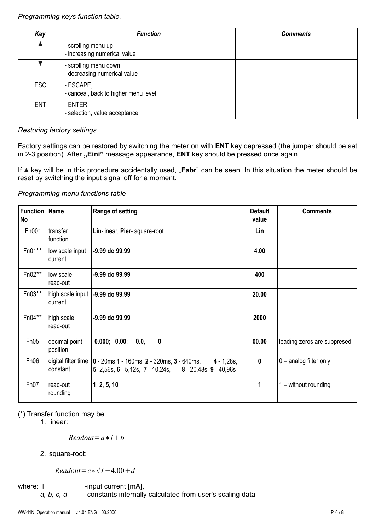*Programming keys function table.*

| Key              | <b>Function</b>                                       | <b>Comments</b> |
|------------------|-------------------------------------------------------|-----------------|
| $\blacktriangle$ | - scrolling menu up<br>- increasing numerical value   |                 |
|                  | - scrolling menu down<br>- decreasing numerical value |                 |
| <b>ESC</b>       | - ESCAPE,<br>- canceal, back to higher menu level     |                 |
| <b>ENT</b>       | - ENTER<br>- selection, value acceptance              |                 |

*Restoring factory settings.*

Factory settings can be restored by switching the meter on with **ENT** key depressed (the jumper should be set in 2-3 position). After "Eini" message appearance, ENT key should be pressed once again.

If ▲ key will be in this procedure accidentally used, "**Fabr**" can be seen. In this situation the meter should be reset by switching the input signal off for a moment.

# *Programming menu functions table*

| <b>Function   Name</b><br>No |                                 | <b>Range of setting</b>                                                                                                      | <b>Default</b><br>value | <b>Comments</b>             |
|------------------------------|---------------------------------|------------------------------------------------------------------------------------------------------------------------------|-------------------------|-----------------------------|
| $Fn00*$                      | transfer<br>function            | Lin-linear, Pier- square-root                                                                                                | Lin                     |                             |
| Fn01**                       | low scale input<br>current      | -9.99 do 99.99                                                                                                               | 4.00                    |                             |
| $Fn02**$                     | low scale<br>read-out           | -9.99 do 99.99                                                                                                               | 400                     |                             |
| $Fn03**$                     | high scale input<br>current     | -9.99 do 99.99                                                                                                               | 20.00                   |                             |
| Fn04**                       | high scale<br>read-out          | -9.99 do 99.99                                                                                                               | 2000                    |                             |
| Fn05                         | decimal point<br>position       | 0.000; 0.00; 0.0,<br>$\boldsymbol{0}$                                                                                        | 00.00                   | leading zeros are suppresed |
| Fn06                         | digital filter time<br>constant | $\vert$ 0 - 20ms 1 - 160ms, 2 - 320ms, 3 - 640ms,<br>$4 - 1,28s,$<br>5 -2,56s, 6 - 5,12s, 7 - 10,24s, 8 - 20,48s, 9 - 40,96s | $\mathbf 0$             | $0$ – analog filter only    |
| Fn07                         | read-out<br>rounding            | 1, 2, 5, 10                                                                                                                  | 1                       | $1 -$ without rounding      |

(\*) Transfer function may be:

1. linear:

$$
Readout = a * I + b
$$

2. square-root:

*Readout*= $c * \sqrt{I-4,00} + d$ 

where: I -input current [mA],

*a, b, c, d* -constants internally calculated from user's scaling data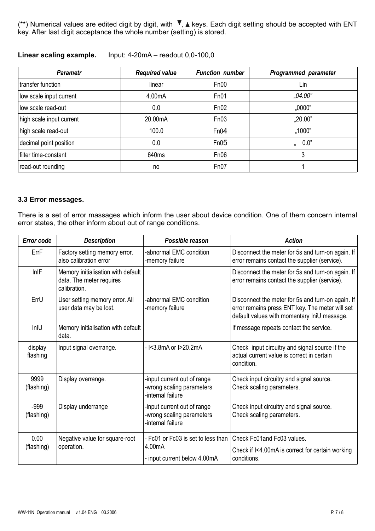(\*\*) Numerical values are edited digit by digit, with  $\overline{V}$ , A keys. Each digit setting should be accepted with ENT key. After last digit acceptance the whole number (setting) is stored.

| <b>Parametr</b>          | <b>Required value</b> | <b>Function number</b> | <b>Programmed parameter</b> |
|--------------------------|-----------------------|------------------------|-----------------------------|
| transfer function        | linear                | Fn00                   | Lin                         |
| low scale input current  | 4.00mA                | Fn01                   | ,04.00"                     |
| low scale read-out       | 0.0                   | Fn02                   | ,0000"                      |
| high scale input current | 20.00mA               | Fn03                   | ,20.00"                     |
| high scale read-out      | 100.0                 | Fn04                   | ,1000"                      |
| decimal point position   | 0.0                   | Fn05                   | 0.0"<br>$\mathbf{a}$        |
| filter time-constant     | 640ms                 | Fn06                   | 3                           |
| read-out rounding        | no                    | Fn07                   |                             |

**Linear scaling example.** Input: 4-20mA – readout 0,0-100,0

#### **3.3 Error messages.**

There is a set of error massages which inform the user about device condition. One of them concern internal error states, the other inform about out of range conditions.

| <b>Error code</b>    | <b>Description</b>                                                             | Possible reason                                                               | <b>Action</b>                                                                                                                                       |
|----------------------|--------------------------------------------------------------------------------|-------------------------------------------------------------------------------|-----------------------------------------------------------------------------------------------------------------------------------------------------|
| ErrF                 | Factory setting memory error,<br>also calibration error                        | -abnormal EMC condition<br>-memory failure                                    | Disconnect the meter for 5s and turn-on again. If<br>error remains contact the supplier (service).                                                  |
| InIF                 | Memory initialisation with default<br>data. The meter requires<br>calibration. |                                                                               | Disconnect the meter for 5s and turn-on again. If<br>error remains contact the supplier (service).                                                  |
| ErrU                 | User setting memory error. All<br>user data may be lost.                       | -abnormal EMC condition<br>-memory failure                                    | Disconnect the meter for 5s and turn-on again. If<br>error remains press ENT key. The meter will set<br>default values with momentary IniU message. |
| InIU                 | Memory initialisation with default<br>data.                                    |                                                                               | If message repeats contact the service.                                                                                                             |
| display<br>flashing  | Input signal overrange.                                                        | - I<3.8mA or I>20.2mA                                                         | Check input circuitry and signal source if the<br>actual current value is correct in certain<br>condition.                                          |
| 9999<br>(flashing)   | Display overrange.                                                             | -input current out of range<br>-wrong scaling parameters<br>-internal failure | Check input circuitry and signal source.<br>Check scaling parameters.                                                                               |
| $-999$<br>(flashing) | Display underrange                                                             | -input current out of range<br>-wrong scaling parameters<br>-internal failure | Check input circuitry and signal source.<br>Check scaling parameters.                                                                               |
| 0.00<br>(flashing)   | Negative value for square-root<br>operation.                                   | - Fc01 or Fc03 is set to less than<br>4.00mA<br>- input current below 4.00mA  | Check Fc01and Fc03 values.<br>Check if I<4.00mA is correct for certain working<br>conditions.                                                       |